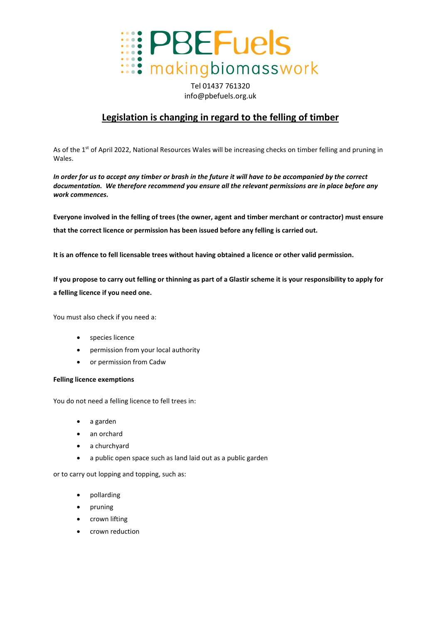

Tel 01437 761320 info@pbefuels.org.uk

## **Legislation is changing in regard to the felling of timber**

As of the 1<sup>st</sup> of April 2022, National Resources Wales will be increasing checks on timber felling and pruning in Wales.

*In order for us to accept any timber or brash in the future it will have to be accompanied by the correct documentation. We therefore recommend you ensure all the relevant permissions are in place before any work commences.*

**Everyone involved in the felling of trees (the owner, agent and timber merchant or contractor) must ensure that the correct licence or permission has been issued before any felling is carried out.**

**It is an offence to fell licensable trees without having obtained a licence or other valid permission.** 

**If you propose to carry out felling or thinning as part of a Glastir scheme it is your responsibility to apply for a felling licence if you need one.**

You must also check if you need a:

- species licence
- permission from your local authority
- or permission from Cadw

## **Felling licence exemptions**

You do not need a felling licence to fell trees in:

- a garden
- an orchard
- a churchyard
- a public open space such as land laid out as a public garden

or to carry out lopping and topping, such as:

- pollarding
- pruning
- crown lifting
- crown reduction